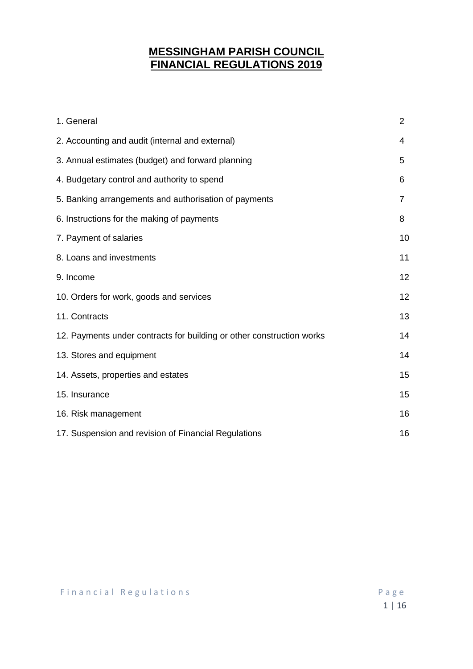# **MESSINGHAM PARISH COUNCIL FINANCIAL REGULATIONS 2019**

| 1. General                                                            | $\overline{2}$ |
|-----------------------------------------------------------------------|----------------|
| 2. Accounting and audit (internal and external)                       | 4              |
| 3. Annual estimates (budget) and forward planning                     | 5              |
| 4. Budgetary control and authority to spend                           | 6              |
| 5. Banking arrangements and authorisation of payments                 | 7              |
| 6. Instructions for the making of payments                            | 8              |
| 7. Payment of salaries                                                | 10             |
| 8. Loans and investments                                              | 11             |
| 9. Income                                                             | 12             |
| 10. Orders for work, goods and services                               | 12             |
| 11. Contracts                                                         | 13             |
| 12. Payments under contracts for building or other construction works | 14             |
| 13. Stores and equipment                                              | 14             |
| 14. Assets, properties and estates                                    | 15             |
| 15. Insurance                                                         | 15             |
| 16. Risk management                                                   | 16             |
| 17. Suspension and revision of Financial Regulations                  | 16             |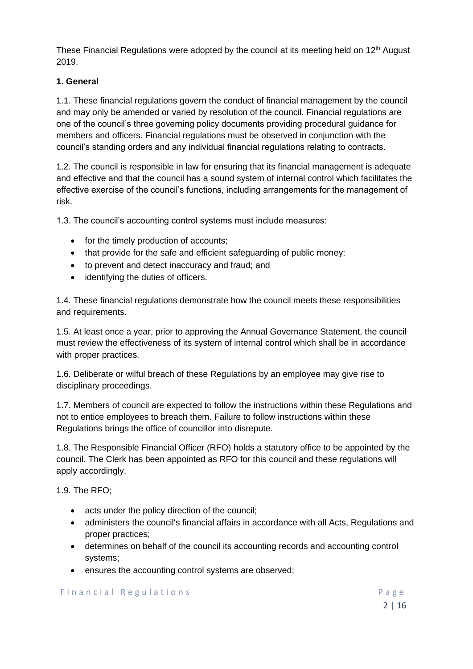These Financial Regulations were adopted by the council at its meeting held on  $12<sup>th</sup>$  August 2019.

# **1. General**

1.1. These financial regulations govern the conduct of financial management by the council and may only be amended or varied by resolution of the council. Financial regulations are one of the council's three governing policy documents providing procedural guidance for members and officers. Financial regulations must be observed in conjunction with the council's standing orders and any individual financial regulations relating to contracts.

1.2. The council is responsible in law for ensuring that its financial management is adequate and effective and that the council has a sound system of internal control which facilitates the effective exercise of the council's functions, including arrangements for the management of risk.

1.3. The council's accounting control systems must include measures:

- for the timely production of accounts;
- that provide for the safe and efficient safeguarding of public money;
- to prevent and detect inaccuracy and fraud; and
- identifying the duties of officers.

1.4. These financial regulations demonstrate how the council meets these responsibilities and requirements.

1.5. At least once a year, prior to approving the Annual Governance Statement, the council must review the effectiveness of its system of internal control which shall be in accordance with proper practices.

1.6. Deliberate or wilful breach of these Regulations by an employee may give rise to disciplinary proceedings.

1.7. Members of council are expected to follow the instructions within these Regulations and not to entice employees to breach them. Failure to follow instructions within these Regulations brings the office of councillor into disrepute.

1.8. The Responsible Financial Officer (RFO) holds a statutory office to be appointed by the council. The Clerk has been appointed as RFO for this council and these regulations will apply accordingly.

1.9. The RFO;

- acts under the policy direction of the council;
- administers the council's financial affairs in accordance with all Acts, Regulations and proper practices;
- determines on behalf of the council its accounting records and accounting control systems;
- ensures the accounting control systems are observed;

## Financial Regulations **Example 20** Page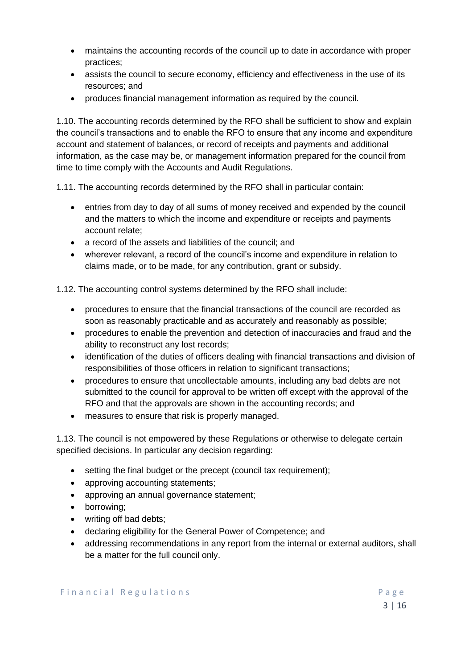- maintains the accounting records of the council up to date in accordance with proper practices;
- assists the council to secure economy, efficiency and effectiveness in the use of its resources; and
- produces financial management information as required by the council.

1.10. The accounting records determined by the RFO shall be sufficient to show and explain the council's transactions and to enable the RFO to ensure that any income and expenditure account and statement of balances, or record of receipts and payments and additional information, as the case may be, or management information prepared for the council from time to time comply with the Accounts and Audit Regulations.

1.11. The accounting records determined by the RFO shall in particular contain:

- entries from day to day of all sums of money received and expended by the council and the matters to which the income and expenditure or receipts and payments account relate;
- a record of the assets and liabilities of the council; and
- wherever relevant, a record of the council's income and expenditure in relation to claims made, or to be made, for any contribution, grant or subsidy.

1.12. The accounting control systems determined by the RFO shall include:

- procedures to ensure that the financial transactions of the council are recorded as soon as reasonably practicable and as accurately and reasonably as possible;
- procedures to enable the prevention and detection of inaccuracies and fraud and the ability to reconstruct any lost records;
- identification of the duties of officers dealing with financial transactions and division of responsibilities of those officers in relation to significant transactions;
- procedures to ensure that uncollectable amounts, including any bad debts are not submitted to the council for approval to be written off except with the approval of the RFO and that the approvals are shown in the accounting records; and
- measures to ensure that risk is properly managed.

1.13. The council is not empowered by these Regulations or otherwise to delegate certain specified decisions. In particular any decision regarding:

- setting the final budget or the precept (council tax requirement);
- approving accounting statements;
- approving an annual governance statement;
- borrowing;
- writing off bad debts;
- declaring eligibility for the General Power of Competence; and
- addressing recommendations in any report from the internal or external auditors, shall be a matter for the full council only.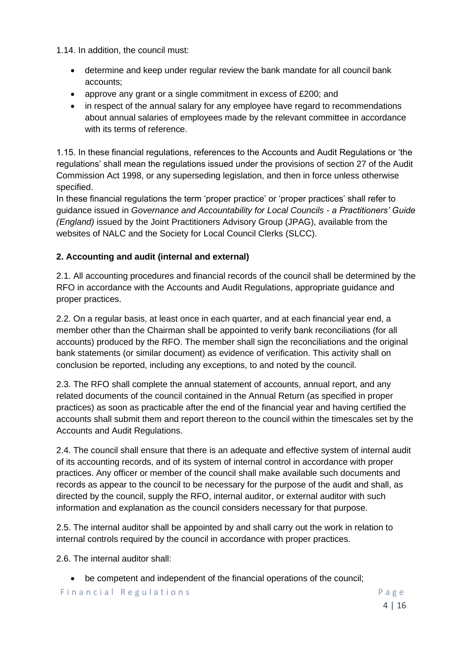1.14. In addition, the council must:

- determine and keep under regular review the bank mandate for all council bank accounts;
- approve any grant or a single commitment in excess of £200; and
- in respect of the annual salary for any employee have regard to recommendations about annual salaries of employees made by the relevant committee in accordance with its terms of reference.

1.15. In these financial regulations, references to the Accounts and Audit Regulations or 'the regulations' shall mean the regulations issued under the provisions of section 27 of the Audit Commission Act 1998, or any superseding legislation, and then in force unless otherwise specified.

In these financial regulations the term 'proper practice' or 'proper practices' shall refer to guidance issued in *Governance and Accountability for Local Councils - a Practitioners' Guide (England)* issued by the Joint Practitioners Advisory Group (JPAG), available from the websites of NALC and the Society for Local Council Clerks (SLCC).

# **2. Accounting and audit (internal and external)**

2.1. All accounting procedures and financial records of the council shall be determined by the RFO in accordance with the Accounts and Audit Regulations, appropriate guidance and proper practices.

2.2. On a regular basis, at least once in each quarter, and at each financial year end, a member other than the Chairman shall be appointed to verify bank reconciliations (for all accounts) produced by the RFO. The member shall sign the reconciliations and the original bank statements (or similar document) as evidence of verification. This activity shall on conclusion be reported, including any exceptions, to and noted by the council.

2.3. The RFO shall complete the annual statement of accounts, annual report, and any related documents of the council contained in the Annual Return (as specified in proper practices) as soon as practicable after the end of the financial year and having certified the accounts shall submit them and report thereon to the council within the timescales set by the Accounts and Audit Regulations.

2.4. The council shall ensure that there is an adequate and effective system of internal audit of its accounting records, and of its system of internal control in accordance with proper practices. Any officer or member of the council shall make available such documents and records as appear to the council to be necessary for the purpose of the audit and shall, as directed by the council, supply the RFO, internal auditor, or external auditor with such information and explanation as the council considers necessary for that purpose.

2.5. The internal auditor shall be appointed by and shall carry out the work in relation to internal controls required by the council in accordance with proper practices.

2.6. The internal auditor shall:

• be competent and independent of the financial operations of the council;

Financial Regulations **Example 20** Page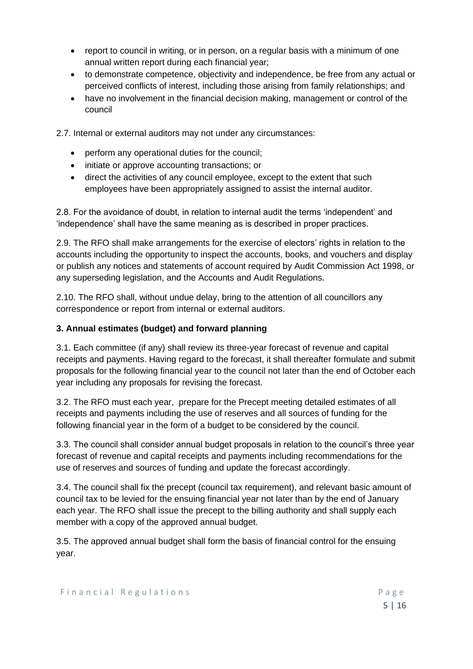- report to council in writing, or in person, on a regular basis with a minimum of one annual written report during each financial year;
- to demonstrate competence, objectivity and independence, be free from any actual or perceived conflicts of interest, including those arising from family relationships; and
- have no involvement in the financial decision making, management or control of the council

2.7. Internal or external auditors may not under any circumstances:

- perform any operational duties for the council;
- initiate or approve accounting transactions; or
- direct the activities of any council employee, except to the extent that such employees have been appropriately assigned to assist the internal auditor.

2.8. For the avoidance of doubt, in relation to internal audit the terms 'independent' and 'independence' shall have the same meaning as is described in proper practices.

2.9. The RFO shall make arrangements for the exercise of electors' rights in relation to the accounts including the opportunity to inspect the accounts, books, and vouchers and display or publish any notices and statements of account required by Audit Commission Act 1998, or any superseding legislation, and the Accounts and Audit Regulations.

2.10. The RFO shall, without undue delay, bring to the attention of all councillors any correspondence or report from internal or external auditors.

#### **3. Annual estimates (budget) and forward planning**

3.1. Each committee (if any) shall review its three-year forecast of revenue and capital receipts and payments. Having regard to the forecast, it shall thereafter formulate and submit proposals for the following financial year to the council not later than the end of October each year including any proposals for revising the forecast.

3.2. The RFO must each year, prepare for the Precept meeting detailed estimates of all receipts and payments including the use of reserves and all sources of funding for the following financial year in the form of a budget to be considered by the council.

3.3. The council shall consider annual budget proposals in relation to the council's three year forecast of revenue and capital receipts and payments including recommendations for the use of reserves and sources of funding and update the forecast accordingly.

3.4. The council shall fix the precept (council tax requirement), and relevant basic amount of council tax to be levied for the ensuing financial year not later than by the end of January each year. The RFO shall issue the precept to the billing authority and shall supply each member with a copy of the approved annual budget.

3.5. The approved annual budget shall form the basis of financial control for the ensuing year.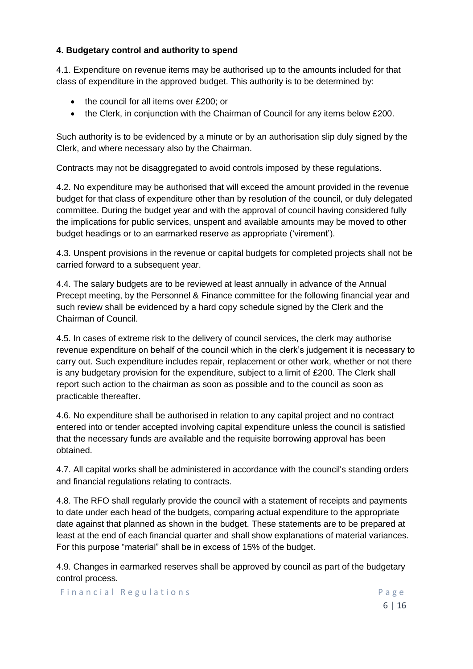## **4. Budgetary control and authority to spend**

4.1. Expenditure on revenue items may be authorised up to the amounts included for that class of expenditure in the approved budget. This authority is to be determined by:

- the council for all items over £200; or
- the Clerk, in conjunction with the Chairman of Council for any items below £200.

Such authority is to be evidenced by a minute or by an authorisation slip duly signed by the Clerk, and where necessary also by the Chairman.

Contracts may not be disaggregated to avoid controls imposed by these regulations.

4.2. No expenditure may be authorised that will exceed the amount provided in the revenue budget for that class of expenditure other than by resolution of the council, or duly delegated committee. During the budget year and with the approval of council having considered fully the implications for public services, unspent and available amounts may be moved to other budget headings or to an earmarked reserve as appropriate ('virement').

4.3. Unspent provisions in the revenue or capital budgets for completed projects shall not be carried forward to a subsequent year.

4.4. The salary budgets are to be reviewed at least annually in advance of the Annual Precept meeting, by the Personnel & Finance committee for the following financial year and such review shall be evidenced by a hard copy schedule signed by the Clerk and the Chairman of Council.

4.5. In cases of extreme risk to the delivery of council services, the clerk may authorise revenue expenditure on behalf of the council which in the clerk's judgement it is necessary to carry out. Such expenditure includes repair, replacement or other work, whether or not there is any budgetary provision for the expenditure, subject to a limit of £200. The Clerk shall report such action to the chairman as soon as possible and to the council as soon as practicable thereafter.

4.6. No expenditure shall be authorised in relation to any capital project and no contract entered into or tender accepted involving capital expenditure unless the council is satisfied that the necessary funds are available and the requisite borrowing approval has been obtained.

4.7. All capital works shall be administered in accordance with the council's standing orders and financial regulations relating to contracts.

4.8. The RFO shall regularly provide the council with a statement of receipts and payments to date under each head of the budgets, comparing actual expenditure to the appropriate date against that planned as shown in the budget. These statements are to be prepared at least at the end of each financial quarter and shall show explanations of material variances. For this purpose "material" shall be in excess of 15% of the budget.

4.9. Changes in earmarked reserves shall be approved by council as part of the budgetary control process.

Financial Regulations and the contract of the Page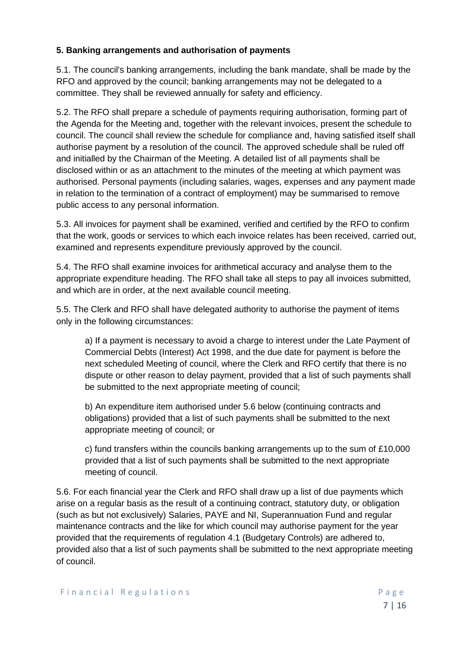## **5. Banking arrangements and authorisation of payments**

5.1. The council's banking arrangements, including the bank mandate, shall be made by the RFO and approved by the council; banking arrangements may not be delegated to a committee. They shall be reviewed annually for safety and efficiency.

5.2. The RFO shall prepare a schedule of payments requiring authorisation, forming part of the Agenda for the Meeting and, together with the relevant invoices, present the schedule to council. The council shall review the schedule for compliance and, having satisfied itself shall authorise payment by a resolution of the council. The approved schedule shall be ruled off and initialled by the Chairman of the Meeting. A detailed list of all payments shall be disclosed within or as an attachment to the minutes of the meeting at which payment was authorised. Personal payments (including salaries, wages, expenses and any payment made in relation to the termination of a contract of employment) may be summarised to remove public access to any personal information.

5.3. All invoices for payment shall be examined, verified and certified by the RFO to confirm that the work, goods or services to which each invoice relates has been received, carried out, examined and represents expenditure previously approved by the council.

5.4. The RFO shall examine invoices for arithmetical accuracy and analyse them to the appropriate expenditure heading. The RFO shall take all steps to pay all invoices submitted, and which are in order, at the next available council meeting.

5.5. The Clerk and RFO shall have delegated authority to authorise the payment of items only in the following circumstances:

a) If a payment is necessary to avoid a charge to interest under the Late Payment of Commercial Debts (Interest) Act 1998, and the due date for payment is before the next scheduled Meeting of council, where the Clerk and RFO certify that there is no dispute or other reason to delay payment, provided that a list of such payments shall be submitted to the next appropriate meeting of council;

b) An expenditure item authorised under 5.6 below (continuing contracts and obligations) provided that a list of such payments shall be submitted to the next appropriate meeting of council; or

c) fund transfers within the councils banking arrangements up to the sum of £10,000 provided that a list of such payments shall be submitted to the next appropriate meeting of council.

5.6. For each financial year the Clerk and RFO shall draw up a list of due payments which arise on a regular basis as the result of a continuing contract, statutory duty, or obligation (such as but not exclusively) Salaries, PAYE and NI, Superannuation Fund and regular maintenance contracts and the like for which council may authorise payment for the year provided that the requirements of regulation 4.1 (Budgetary Controls) are adhered to, provided also that a list of such payments shall be submitted to the next appropriate meeting of council.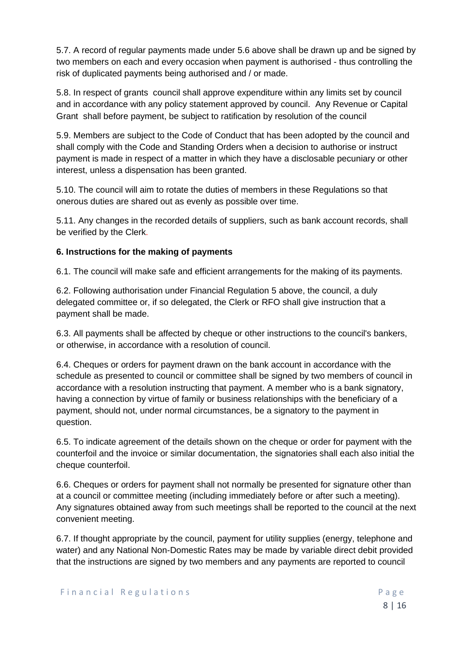5.7. A record of regular payments made under 5.6 above shall be drawn up and be signed by two members on each and every occasion when payment is authorised - thus controlling the risk of duplicated payments being authorised and / or made.

5.8. In respect of grants council shall approve expenditure within any limits set by council and in accordance with any policy statement approved by council. Any Revenue or Capital Grant shall before payment, be subject to ratification by resolution of the council

5.9. Members are subject to the Code of Conduct that has been adopted by the council and shall comply with the Code and Standing Orders when a decision to authorise or instruct payment is made in respect of a matter in which they have a disclosable pecuniary or other interest, unless a dispensation has been granted.

5.10. The council will aim to rotate the duties of members in these Regulations so that onerous duties are shared out as evenly as possible over time.

5.11. Any changes in the recorded details of suppliers, such as bank account records, shall be verified by the Clerk.

### **6. Instructions for the making of payments**

6.1. The council will make safe and efficient arrangements for the making of its payments.

6.2. Following authorisation under Financial Regulation 5 above, the council, a duly delegated committee or, if so delegated, the Clerk or RFO shall give instruction that a payment shall be made.

6.3. All payments shall be affected by cheque or other instructions to the council's bankers, or otherwise, in accordance with a resolution of council.

6.4. Cheques or orders for payment drawn on the bank account in accordance with the schedule as presented to council or committee shall be signed by two members of council in accordance with a resolution instructing that payment. A member who is a bank signatory, having a connection by virtue of family or business relationships with the beneficiary of a payment, should not, under normal circumstances, be a signatory to the payment in question.

6.5. To indicate agreement of the details shown on the cheque or order for payment with the counterfoil and the invoice or similar documentation, the signatories shall each also initial the cheque counterfoil.

6.6. Cheques or orders for payment shall not normally be presented for signature other than at a council or committee meeting (including immediately before or after such a meeting). Any signatures obtained away from such meetings shall be reported to the council at the next convenient meeting.

6.7. If thought appropriate by the council, payment for utility supplies (energy, telephone and water) and any National Non-Domestic Rates may be made by variable direct debit provided that the instructions are signed by two members and any payments are reported to council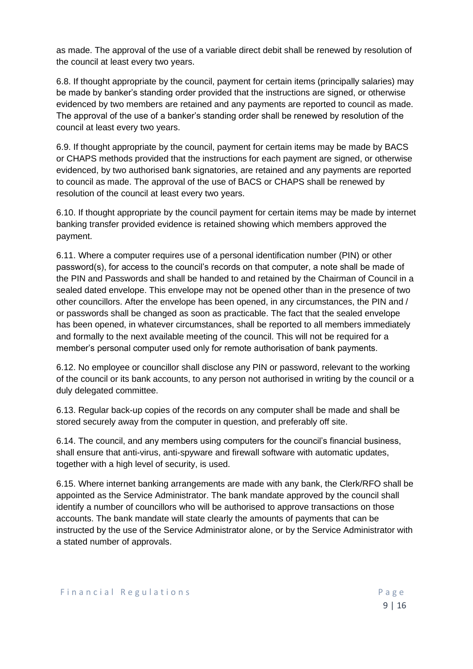as made. The approval of the use of a variable direct debit shall be renewed by resolution of the council at least every two years.

6.8. If thought appropriate by the council, payment for certain items (principally salaries) may be made by banker's standing order provided that the instructions are signed, or otherwise evidenced by two members are retained and any payments are reported to council as made. The approval of the use of a banker's standing order shall be renewed by resolution of the council at least every two years.

6.9. If thought appropriate by the council, payment for certain items may be made by BACS or CHAPS methods provided that the instructions for each payment are signed, or otherwise evidenced, by two authorised bank signatories, are retained and any payments are reported to council as made. The approval of the use of BACS or CHAPS shall be renewed by resolution of the council at least every two years.

6.10. If thought appropriate by the council payment for certain items may be made by internet banking transfer provided evidence is retained showing which members approved the payment.

6.11. Where a computer requires use of a personal identification number (PIN) or other password(s), for access to the council's records on that computer, a note shall be made of the PIN and Passwords and shall be handed to and retained by the Chairman of Council in a sealed dated envelope. This envelope may not be opened other than in the presence of two other councillors. After the envelope has been opened, in any circumstances, the PIN and / or passwords shall be changed as soon as practicable. The fact that the sealed envelope has been opened, in whatever circumstances, shall be reported to all members immediately and formally to the next available meeting of the council. This will not be required for a member's personal computer used only for remote authorisation of bank payments.

6.12. No employee or councillor shall disclose any PIN or password, relevant to the working of the council or its bank accounts, to any person not authorised in writing by the council or a duly delegated committee.

6.13. Regular back-up copies of the records on any computer shall be made and shall be stored securely away from the computer in question, and preferably off site.

6.14. The council, and any members using computers for the council's financial business, shall ensure that anti-virus, anti-spyware and firewall software with automatic updates, together with a high level of security, is used.

6.15. Where internet banking arrangements are made with any bank, the Clerk/RFO shall be appointed as the Service Administrator. The bank mandate approved by the council shall identify a number of councillors who will be authorised to approve transactions on those accounts. The bank mandate will state clearly the amounts of payments that can be instructed by the use of the Service Administrator alone, or by the Service Administrator with a stated number of approvals.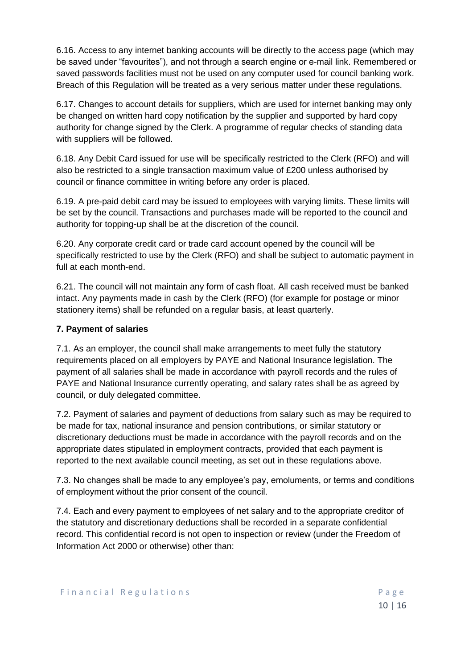6.16. Access to any internet banking accounts will be directly to the access page (which may be saved under "favourites"), and not through a search engine or e-mail link. Remembered or saved passwords facilities must not be used on any computer used for council banking work. Breach of this Regulation will be treated as a very serious matter under these regulations.

6.17. Changes to account details for suppliers, which are used for internet banking may only be changed on written hard copy notification by the supplier and supported by hard copy authority for change signed by the Clerk. A programme of regular checks of standing data with suppliers will be followed.

6.18. Any Debit Card issued for use will be specifically restricted to the Clerk (RFO) and will also be restricted to a single transaction maximum value of £200 unless authorised by council or finance committee in writing before any order is placed.

6.19. A pre-paid debit card may be issued to employees with varying limits. These limits will be set by the council. Transactions and purchases made will be reported to the council and authority for topping-up shall be at the discretion of the council.

6.20. Any corporate credit card or trade card account opened by the council will be specifically restricted to use by the Clerk (RFO) and shall be subject to automatic payment in full at each month-end.

6.21. The council will not maintain any form of cash float. All cash received must be banked intact. Any payments made in cash by the Clerk (RFO) (for example for postage or minor stationery items) shall be refunded on a regular basis, at least quarterly.

## **7. Payment of salaries**

7.1. As an employer, the council shall make arrangements to meet fully the statutory requirements placed on all employers by PAYE and National Insurance legislation. The payment of all salaries shall be made in accordance with payroll records and the rules of PAYE and National Insurance currently operating, and salary rates shall be as agreed by council, or duly delegated committee.

7.2. Payment of salaries and payment of deductions from salary such as may be required to be made for tax, national insurance and pension contributions, or similar statutory or discretionary deductions must be made in accordance with the payroll records and on the appropriate dates stipulated in employment contracts, provided that each payment is reported to the next available council meeting, as set out in these regulations above.

7.3. No changes shall be made to any employee's pay, emoluments, or terms and conditions of employment without the prior consent of the council.

7.4. Each and every payment to employees of net salary and to the appropriate creditor of the statutory and discretionary deductions shall be recorded in a separate confidential record. This confidential record is not open to inspection or review (under the Freedom of Information Act 2000 or otherwise) other than: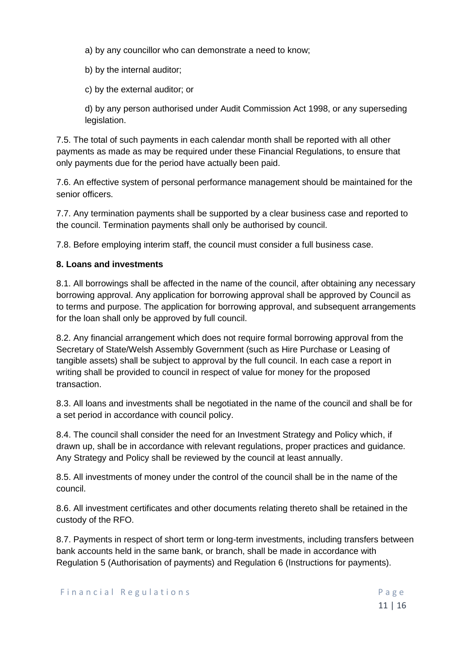a) by any councillor who can demonstrate a need to know;

b) by the internal auditor;

c) by the external auditor; or

d) by any person authorised under Audit Commission Act 1998, or any superseding legislation.

7.5. The total of such payments in each calendar month shall be reported with all other payments as made as may be required under these Financial Regulations, to ensure that only payments due for the period have actually been paid.

7.6. An effective system of personal performance management should be maintained for the senior officers.

7.7. Any termination payments shall be supported by a clear business case and reported to the council. Termination payments shall only be authorised by council.

7.8. Before employing interim staff, the council must consider a full business case.

### **8. Loans and investments**

8.1. All borrowings shall be affected in the name of the council, after obtaining any necessary borrowing approval. Any application for borrowing approval shall be approved by Council as to terms and purpose. The application for borrowing approval, and subsequent arrangements for the loan shall only be approved by full council.

8.2. Any financial arrangement which does not require formal borrowing approval from the Secretary of State/Welsh Assembly Government (such as Hire Purchase or Leasing of tangible assets) shall be subject to approval by the full council. In each case a report in writing shall be provided to council in respect of value for money for the proposed transaction.

8.3. All loans and investments shall be negotiated in the name of the council and shall be for a set period in accordance with council policy.

8.4. The council shall consider the need for an Investment Strategy and Policy which, if drawn up, shall be in accordance with relevant regulations, proper practices and guidance. Any Strategy and Policy shall be reviewed by the council at least annually.

8.5. All investments of money under the control of the council shall be in the name of the council.

8.6. All investment certificates and other documents relating thereto shall be retained in the custody of the RFO.

8.7. Payments in respect of short term or long-term investments, including transfers between bank accounts held in the same bank, or branch, shall be made in accordance with Regulation 5 (Authorisation of payments) and Regulation 6 (Instructions for payments).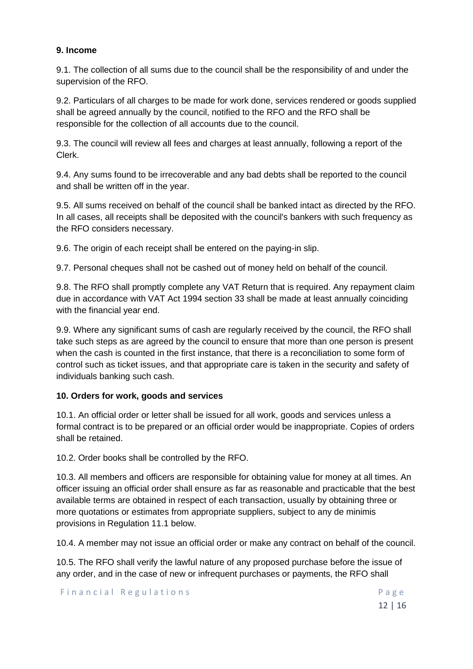### **9. Income**

9.1. The collection of all sums due to the council shall be the responsibility of and under the supervision of the RFO.

9.2. Particulars of all charges to be made for work done, services rendered or goods supplied shall be agreed annually by the council, notified to the RFO and the RFO shall be responsible for the collection of all accounts due to the council.

9.3. The council will review all fees and charges at least annually, following a report of the Clerk.

9.4. Any sums found to be irrecoverable and any bad debts shall be reported to the council and shall be written off in the year.

9.5. All sums received on behalf of the council shall be banked intact as directed by the RFO. In all cases, all receipts shall be deposited with the council's bankers with such frequency as the RFO considers necessary.

9.6. The origin of each receipt shall be entered on the paying-in slip.

9.7. Personal cheques shall not be cashed out of money held on behalf of the council.

9.8. The RFO shall promptly complete any VAT Return that is required. Any repayment claim due in accordance with VAT Act 1994 section 33 shall be made at least annually coinciding with the financial year end.

9.9. Where any significant sums of cash are regularly received by the council, the RFO shall take such steps as are agreed by the council to ensure that more than one person is present when the cash is counted in the first instance, that there is a reconciliation to some form of control such as ticket issues, and that appropriate care is taken in the security and safety of individuals banking such cash.

## **10. Orders for work, goods and services**

10.1. An official order or letter shall be issued for all work, goods and services unless a formal contract is to be prepared or an official order would be inappropriate. Copies of orders shall be retained.

10.2. Order books shall be controlled by the RFO.

10.3. All members and officers are responsible for obtaining value for money at all times. An officer issuing an official order shall ensure as far as reasonable and practicable that the best available terms are obtained in respect of each transaction, usually by obtaining three or more quotations or estimates from appropriate suppliers, subject to any de minimis provisions in Regulation 11.1 below.

10.4. A member may not issue an official order or make any contract on behalf of the council.

10.5. The RFO shall verify the lawful nature of any proposed purchase before the issue of any order, and in the case of new or infrequent purchases or payments, the RFO shall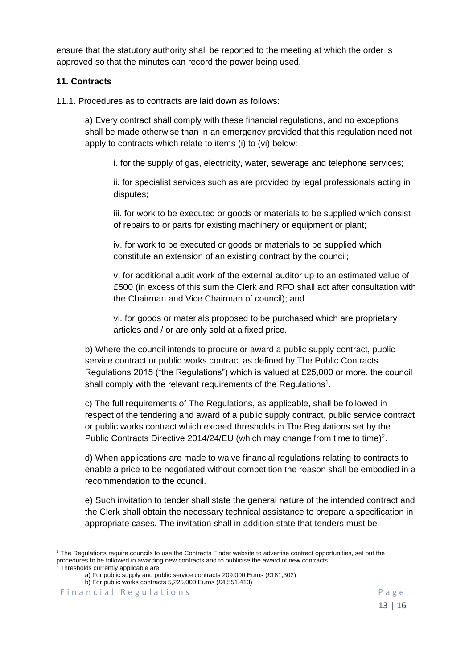ensure that the statutory authority shall be reported to the meeting at which the order is approved so that the minutes can record the power being used.

#### **11. Contracts**

11.1. Procedures as to contracts are laid down as follows:

a) Every contract shall comply with these financial regulations, and no exceptions shall be made otherwise than in an emergency provided that this regulation need not apply to contracts which relate to items (i) to (vi) below:

i. for the supply of gas, electricity, water, sewerage and telephone services;

ii. for specialist services such as are provided by legal professionals acting in disputes;

iii. for work to be executed or goods or materials to be supplied which consist of repairs to or parts for existing machinery or equipment or plant;

iv. for work to be executed or goods or materials to be supplied which constitute an extension of an existing contract by the council;

v. for additional audit work of the external auditor up to an estimated value of £500 (in excess of this sum the Clerk and RFO shall act after consultation with the Chairman and Vice Chairman of council); and

vi. for goods or materials proposed to be purchased which are proprietary articles and / or are only sold at a fixed price.

b) Where the council intends to procure or award a public supply contract, public service contract or public works contract as defined by The Public Contracts Regulations 2015 ("the Regulations") which is valued at £25,000 or more, the council shall comply with the relevant requirements of the Regulations<sup>1</sup>.

c) The full requirements of The Regulations, as applicable, shall be followed in respect of the tendering and award of a public supply contract, public service contract or public works contract which exceed thresholds in The Regulations set by the Public Contracts Directive 2014/24/EU (which may change from time to time)<sup>2</sup>.

d) When applications are made to waive financial regulations relating to contracts to enable a price to be negotiated without competition the reason shall be embodied in a recommendation to the council.

e) Such invitation to tender shall state the general nature of the intended contract and the Clerk shall obtain the necessary technical assistance to prepare a specification in appropriate cases. The invitation shall in addition state that tenders must be

<sup>&</sup>lt;sup>1</sup> The Regulations require councils to use the Contracts Finder website to advertise contract opportunities, set out the procedures to be followed in awarding new contracts and to publicise the award of new contracts Thresholds currently applicable are:

a) For public supply and public service contracts 209,000 Euros (£181,302)

b) For public works contracts 5,225,000 Euros (£4,551,413)

Financial Regulations and the contract of the Page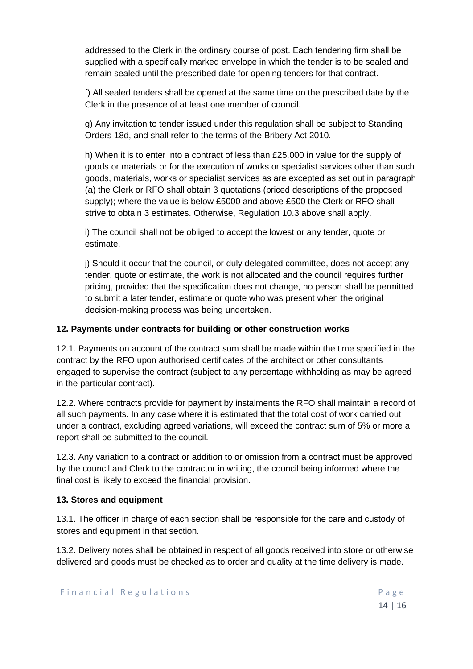addressed to the Clerk in the ordinary course of post. Each tendering firm shall be supplied with a specifically marked envelope in which the tender is to be sealed and remain sealed until the prescribed date for opening tenders for that contract.

f) All sealed tenders shall be opened at the same time on the prescribed date by the Clerk in the presence of at least one member of council.

g) Any invitation to tender issued under this regulation shall be subject to Standing Orders 18d, and shall refer to the terms of the Bribery Act 2010.

h) When it is to enter into a contract of less than £25,000 in value for the supply of goods or materials or for the execution of works or specialist services other than such goods, materials, works or specialist services as are excepted as set out in paragraph (a) the Clerk or RFO shall obtain 3 quotations (priced descriptions of the proposed supply); where the value is below £5000 and above £500 the Clerk or RFO shall strive to obtain 3 estimates. Otherwise, Regulation 10.3 above shall apply.

i) The council shall not be obliged to accept the lowest or any tender, quote or estimate.

j) Should it occur that the council, or duly delegated committee, does not accept any tender, quote or estimate, the work is not allocated and the council requires further pricing, provided that the specification does not change, no person shall be permitted to submit a later tender, estimate or quote who was present when the original decision-making process was being undertaken.

### **12. Payments under contracts for building or other construction works**

12.1. Payments on account of the contract sum shall be made within the time specified in the contract by the RFO upon authorised certificates of the architect or other consultants engaged to supervise the contract (subject to any percentage withholding as may be agreed in the particular contract).

12.2. Where contracts provide for payment by instalments the RFO shall maintain a record of all such payments. In any case where it is estimated that the total cost of work carried out under a contract, excluding agreed variations, will exceed the contract sum of 5% or more a report shall be submitted to the council.

12.3. Any variation to a contract or addition to or omission from a contract must be approved by the council and Clerk to the contractor in writing, the council being informed where the final cost is likely to exceed the financial provision.

#### **13. Stores and equipment**

13.1. The officer in charge of each section shall be responsible for the care and custody of stores and equipment in that section.

13.2. Delivery notes shall be obtained in respect of all goods received into store or otherwise delivered and goods must be checked as to order and quality at the time delivery is made.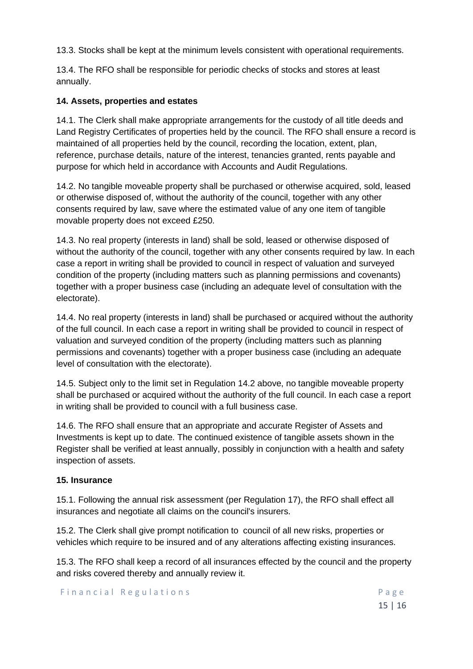13.3. Stocks shall be kept at the minimum levels consistent with operational requirements.

13.4. The RFO shall be responsible for periodic checks of stocks and stores at least annually.

### **14. Assets, properties and estates**

14.1. The Clerk shall make appropriate arrangements for the custody of all title deeds and Land Registry Certificates of properties held by the council. The RFO shall ensure a record is maintained of all properties held by the council, recording the location, extent, plan, reference, purchase details, nature of the interest, tenancies granted, rents payable and purpose for which held in accordance with Accounts and Audit Regulations.

14.2. No tangible moveable property shall be purchased or otherwise acquired, sold, leased or otherwise disposed of, without the authority of the council, together with any other consents required by law, save where the estimated value of any one item of tangible movable property does not exceed £250.

14.3. No real property (interests in land) shall be sold, leased or otherwise disposed of without the authority of the council, together with any other consents required by law. In each case a report in writing shall be provided to council in respect of valuation and surveyed condition of the property (including matters such as planning permissions and covenants) together with a proper business case (including an adequate level of consultation with the electorate).

14.4. No real property (interests in land) shall be purchased or acquired without the authority of the full council. In each case a report in writing shall be provided to council in respect of valuation and surveyed condition of the property (including matters such as planning permissions and covenants) together with a proper business case (including an adequate level of consultation with the electorate).

14.5. Subject only to the limit set in Regulation 14.2 above, no tangible moveable property shall be purchased or acquired without the authority of the full council. In each case a report in writing shall be provided to council with a full business case.

14.6. The RFO shall ensure that an appropriate and accurate Register of Assets and Investments is kept up to date. The continued existence of tangible assets shown in the Register shall be verified at least annually, possibly in conjunction with a health and safety inspection of assets.

#### **15. Insurance**

15.1. Following the annual risk assessment (per Regulation 17), the RFO shall effect all insurances and negotiate all claims on the council's insurers.

15.2. The Clerk shall give prompt notification to council of all new risks, properties or vehicles which require to be insured and of any alterations affecting existing insurances.

15.3. The RFO shall keep a record of all insurances effected by the council and the property and risks covered thereby and annually review it.